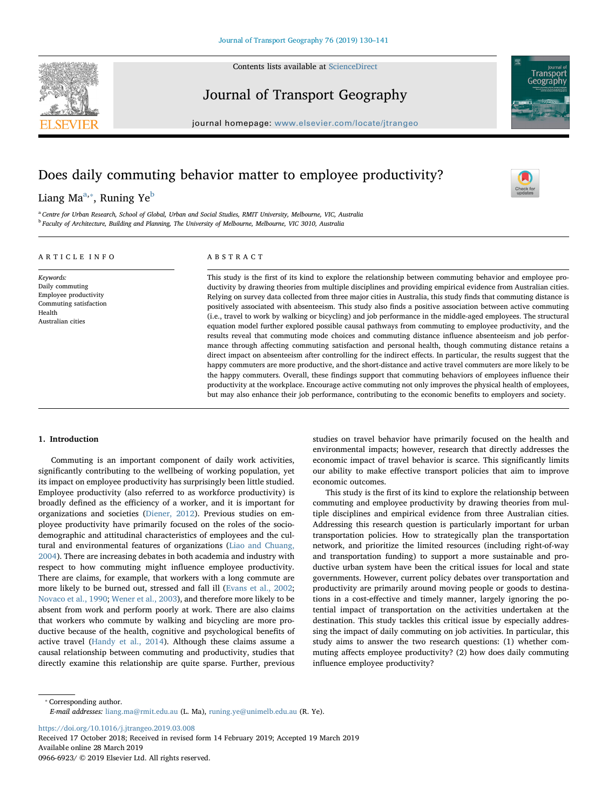

Contents lists available at [ScienceDirect](http://www.sciencedirect.com/science/journal/09666923)

Journal of Transport Geography



# Does daily commuting behavior matter to employee productivity?

# Li[a](#page-0-0)ng Ma<sup>a,</sup>\*, Runing Ye<sup>b</sup>

<span id="page-0-2"></span><span id="page-0-0"></span><sup>a</sup> Centre for Urban Research, School of Global, Urban and Social Studies, RMIT University, Melbourne, VIC, Australia <sup>b</sup> Faculty of Architecture, Building and Planning, The University of Melbourne, Melbourne, VIC 3010, Australia

# ARTICLE INFO

Keywords: Daily commuting Employee productivity Commuting satisfaction

Health Australian cities

ABSTRACT

This study is the first of its kind to explore the relationship between commuting behavior and employee productivity by drawing theories from multiple disciplines and providing empirical evidence from Australian cities. Relying on survey data collected from three major cities in Australia, this study finds that commuting distance is positively associated with absenteeism. This study also finds a positive association between active commuting (i.e., travel to work by walking or bicycling) and job performance in the middle-aged employees. The structural equation model further explored possible causal pathways from commuting to employee productivity, and the results reveal that commuting mode choices and commuting distance influence absenteeism and job performance through affecting commuting satisfaction and personal health, though commuting distance retains a direct impact on absenteeism after controlling for the indirect effects. In particular, the results suggest that the happy commuters are more productive, and the short-distance and active travel commuters are more likely to be the happy commuters. Overall, these findings support that commuting behaviors of employees influence their productivity at the workplace. Encourage active commuting not only improves the physical health of employees, but may also enhance their job performance, contributing to the economic benefits to employers and society.

#### 1. Introduction

Commuting is an important component of daily work activities, significantly contributing to the wellbeing of working population, yet its impact on employee productivity has surprisingly been little studied. Employee productivity (also referred to as workforce productivity) is broadly defined as the efficiency of a worker, and it is important for organizations and societies ([Diener, 2012\)](#page-11-0). Previous studies on employee productivity have primarily focused on the roles of the sociodemographic and attitudinal characteristics of employees and the cultural and environmental features of organizations ([Liao and Chuang,](#page-11-1) [2004\)](#page-11-1). There are increasing debates in both academia and industry with respect to how commuting might influence employee productivity. There are claims, for example, that workers with a long commute are more likely to be burned out, stressed and fall ill [\(Evans et al., 2002](#page-11-2); [Novaco et al., 1990](#page-11-3); [Wener et al., 2003\)](#page-11-4), and therefore more likely to be absent from work and perform poorly at work. There are also claims that workers who commute by walking and bicycling are more productive because of the health, cognitive and psychological benefits of active travel ([Handy et al., 2014](#page-11-5)). Although these claims assume a causal relationship between commuting and productivity, studies that directly examine this relationship are quite sparse. Further, previous studies on travel behavior have primarily focused on the health and environmental impacts; however, research that directly addresses the economic impact of travel behavior is scarce. This significantly limits our ability to make effective transport policies that aim to improve economic outcomes.

 $\sum_{\text{the}}$ 

Transnor Geography

This study is the first of its kind to explore the relationship between commuting and employee productivity by drawing theories from multiple disciplines and empirical evidence from three Australian cities. Addressing this research question is particularly important for urban transportation policies. How to strategically plan the transportation network, and prioritize the limited resources (including right-of-way and transportation funding) to support a more sustainable and productive urban system have been the critical issues for local and state governments. However, current policy debates over transportation and productivity are primarily around moving people or goods to destinations in a cost-effective and timely manner, largely ignoring the potential impact of transportation on the activities undertaken at the destination. This study tackles this critical issue by especially addressing the impact of daily commuting on job activities. In particular, this study aims to answer the two research questions: (1) whether commuting affects employee productivity? (2) how does daily commuting influence employee productivity?

<span id="page-0-1"></span>⁎ Corresponding author. E-mail addresses: [liang.ma@rmit.edu.au](mailto:liang.ma@rmit.edu.au) (L. Ma), [runing.ye@unimelb.edu.au](mailto:runing.ye@unimelb.edu.au) (R. Ye).

<https://doi.org/10.1016/j.jtrangeo.2019.03.008>

Received 17 October 2018; Received in revised form 14 February 2019; Accepted 19 March 2019 Available online 28 March 2019

0966-6923/ © 2019 Elsevier Ltd. All rights reserved.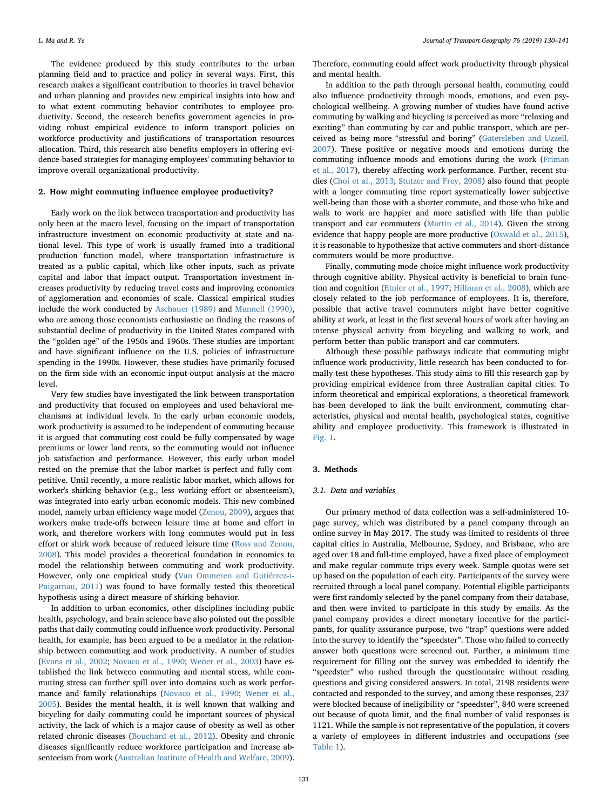The evidence produced by this study contributes to the urban planning field and to practice and policy in several ways. First, this research makes a significant contribution to theories in travel behavior and urban planning and provides new empirical insights into how and to what extent commuting behavior contributes to employee productivity. Second, the research benefits government agencies in providing robust empirical evidence to inform transport policies on workforce productivity and justifications of transportation resources allocation. Third, this research also benefits employers in offering evidence-based strategies for managing employees' commuting behavior to improve overall organizational productivity.

# <span id="page-1-0"></span>2. How might commuting influence employee productivity?

Early work on the link between transportation and productivity has only been at the macro level, focusing on the impact of transportation infrastructure investment on economic productivity at state and national level. This type of work is usually framed into a traditional production function model, where transportation infrastructure is treated as a public capital, which like other inputs, such as private capital and labor that impact output. Transportation investment increases productivity by reducing travel costs and improving economies of agglomeration and economies of scale. Classical empirical studies include the work conducted by [Aschauer \(1989\)](#page-11-6) and [Munnell \(1990\)](#page-11-7), who are among those economists enthusiastic on finding the reasons of substantial decline of productivity in the United States compared with the "golden age" of the 1950s and 1960s. These studies are important and have significant influence on the U.S. policies of infrastructure spending in the 1990s. However, these studies have primarily focused on the firm side with an economic input-output analysis at the macro level.

Very few studies have investigated the link between transportation and productivity that focused on employees and used behavioral mechanisms at individual levels. In the early urban economic models, work productivity is assumed to be independent of commuting because it is argued that commuting cost could be fully compensated by wage premiums or lower land rents, so the commuting would not influence job satisfaction and performance. However, this early urban model rested on the premise that the labor market is perfect and fully competitive. Until recently, a more realistic labor market, which allows for worker's shirking behavior (e.g., less working effort or absenteeism), was integrated into early urban economic models. This new combined model, namely urban efficiency wage model [\(Zenou, 2009](#page-11-8)), argues that workers make trade-offs between leisure time at home and effort in work, and therefore workers with long commutes would put in less effort or shirk work because of reduced leisure time [\(Ross and Zenou,](#page-11-9) [2008\)](#page-11-9). This model provides a theoretical foundation in economics to model the relationship between commuting and work productivity. However, only one empirical study ([Van Ommeren and Gutiérrez-i-](#page-11-10)[Puigarnau, 2011](#page-11-10)) was found to have formally tested this theoretical hypothesis using a direct measure of shirking behavior.

In addition to urban economics, other disciplines including public health, psychology, and brain science have also pointed out the possible paths that daily commuting could influence work productivity. Personal health, for example, has been argued to be a mediator in the relationship between commuting and work productivity. A number of studies ([Evans et al., 2002](#page-11-2); [Novaco et al., 1990](#page-11-3); [Wener et al., 2003](#page-11-4)) have established the link between commuting and mental stress, while commuting stress can further spill over into domains such as work performance and family relationships [\(Novaco et al., 1990](#page-11-3); [Wener et al.,](#page-11-11) [2005\)](#page-11-11). Besides the mental health, it is well known that walking and bicycling for daily commuting could be important sources of physical activity, the lack of which is a major cause of obesity as well as other related chronic diseases [\(Bouchard et al., 2012\)](#page-11-12). Obesity and chronic diseases significantly reduce workforce participation and increase absenteeism from work [\(Australian Institute of Health and Welfare, 2009](#page-11-13)).

Therefore, commuting could affect work productivity through physical and mental health.

In addition to the path through personal health, commuting could also influence productivity through moods, emotions, and even psychological wellbeing. A growing number of studies have found active commuting by walking and bicycling is perceived as more "relaxing and exciting" than commuting by car and public transport, which are perceived as being more "stressful and boring" [\(Gatersleben and Uzzell,](#page-11-14) [2007\)](#page-11-14). These positive or negative moods and emotions during the commuting influence moods and emotions during the work [\(Friman](#page-11-15) [et al., 2017\)](#page-11-15), thereby affecting work performance. Further, recent studies [\(Choi et al., 2013;](#page-11-16) [Stutzer and Frey, 2008](#page-11-17)) also found that people with a longer commuting time report systematically lower subjective well-being than those with a shorter commute, and those who bike and walk to work are happier and more satisfied with life than public transport and car commuters ([Martin et al., 2014](#page-11-18)). Given the strong evidence that happy people are more productive ([Oswald et al., 2015](#page-11-19)), it is reasonable to hypothesize that active commuters and short-distance commuters would be more productive.

Finally, commuting mode choice might influence work productivity through cognitive ability. Physical activity is beneficial to brain function and cognition ([Etnier et al., 1997](#page-11-20); [Hillman et al., 2008](#page-11-21)), which are closely related to the job performance of employees. It is, therefore, possible that active travel commuters might have better cognitive ability at work, at least in the first several hours of work after having an intense physical activity from bicycling and walking to work, and perform better than public transport and car commuters.

Although these possible pathways indicate that commuting might influence work productivity, little research has been conducted to formally test these hypotheses. This study aims to fill this research gap by providing empirical evidence from three Australian capital cities. To inform theoretical and empirical explorations, a theoretical framework has been developed to link the built environment, commuting characteristics, physical and mental health, psychological states, cognitive ability and employee productivity. This framework is illustrated in [Fig. 1.](#page-2-0)

# 3. Methods

#### 3.1. Data and variables

Our primary method of data collection was a self-administered 10 page survey, which was distributed by a panel company through an online survey in May 2017. The study was limited to residents of three capital cities in Australia, Melbourne, Sydney, and Brisbane, who are aged over 18 and full-time employed, have a fixed place of employment and make regular commute trips every week. Sample quotas were set up based on the population of each city. Participants of the survey were recruited through a local panel company. Potential eligible participants were first randomly selected by the panel company from their database, and then were invited to participate in this study by emails. As the panel company provides a direct monetary incentive for the participants, for quality assurance purpose, two "trap" questions were added into the survey to identify the "speedster". Those who failed to correctly answer both questions were screened out. Further, a minimum time requirement for filling out the survey was embedded to identify the "speedster" who rushed through the questionnaire without reading questions and giving considered answers. In total, 2198 residents were contacted and responded to the survey, and among these responses, 237 were blocked because of ineligibility or "speedster", 840 were screened out because of quota limit, and the final number of valid responses is 1121. While the sample is not representative of the population, it covers a variety of employees in different industries and occupations (see [Table 1](#page-3-0)).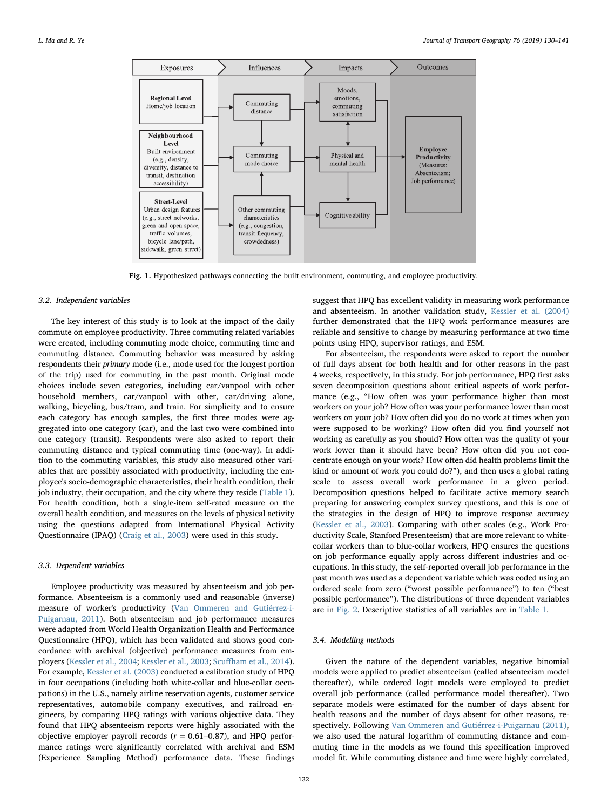<span id="page-2-0"></span>

Fig. 1. Hypothesized pathways connecting the built environment, commuting, and employee productivity.

### 3.2. Independent variables

The key interest of this study is to look at the impact of the daily commute on employee productivity. Three commuting related variables were created, including commuting mode choice, commuting time and commuting distance. Commuting behavior was measured by asking respondents their primary mode (i.e., mode used for the longest portion of the trip) used for commuting in the past month. Original mode choices include seven categories, including car/vanpool with other household members, car/vanpool with other, car/driving alone, walking, bicycling, bus/tram, and train. For simplicity and to ensure each category has enough samples, the first three modes were aggregated into one category (car), and the last two were combined into one category (transit). Respondents were also asked to report their commuting distance and typical commuting time (one-way). In addition to the commuting variables, this study also measured other variables that are possibly associated with productivity, including the employee's socio-demographic characteristics, their health condition, their job industry, their occupation, and the city where they reside [\(Table 1](#page-3-0)). For health condition, both a single-item self-rated measure on the overall health condition, and measures on the levels of physical activity using the questions adapted from International Physical Activity Questionnaire (IPAQ) ([Craig et al., 2003](#page-11-22)) were used in this study.

#### 3.3. Dependent variables

Employee productivity was measured by absenteeism and job performance. Absenteeism is a commonly used and reasonable (inverse) measure of worker's productivity ([Van Ommeren and Gutiérrez-i-](#page-11-10)[Puigarnau, 2011\)](#page-11-10). Both absenteeism and job performance measures were adapted from World Health Organization Health and Performance Questionnaire (HPQ), which has been validated and shows good concordance with archival (objective) performance measures from employers [\(Kessler et al., 2004](#page-11-23); [Kessler et al., 2003;](#page-11-24) Scuff[ham et al., 2014](#page-11-25)). For example, [Kessler et al. \(2003\)](#page-11-24) conducted a calibration study of HPQ in four occupations (including both white-collar and blue-collar occupations) in the U.S., namely airline reservation agents, customer service representatives, automobile company executives, and railroad engineers, by comparing HPQ ratings with various objective data. They found that HPQ absenteeism reports were highly associated with the objective employer payroll records ( $r = 0.61 - 0.87$ ), and HPQ performance ratings were significantly correlated with archival and ESM (Experience Sampling Method) performance data. These findings

suggest that HPQ has excellent validity in measuring work performance and absenteeism. In another validation study, [Kessler et al. \(2004\)](#page-11-23) further demonstrated that the HPQ work performance measures are reliable and sensitive to change by measuring performance at two time points using HPQ, supervisor ratings, and ESM.

For absenteeism, the respondents were asked to report the number of full days absent for both health and for other reasons in the past 4 weeks, respectively, in this study. For job performance, HPQ first asks seven decomposition questions about critical aspects of work performance (e.g., "How often was your performance higher than most workers on your job? How often was your performance lower than most workers on your job? How often did you do no work at times when you were supposed to be working? How often did you find yourself not working as carefully as you should? How often was the quality of your work lower than it should have been? How often did you not concentrate enough on your work? How often did health problems limit the kind or amount of work you could do?"), and then uses a global rating scale to assess overall work performance in a given period. Decomposition questions helped to facilitate active memory search preparing for answering complex survey questions, and this is one of the strategies in the design of HPQ to improve response accuracy ([Kessler et al., 2003\)](#page-11-24). Comparing with other scales (e.g., Work Productivity Scale, Stanford Presenteeism) that are more relevant to whitecollar workers than to blue-collar workers, HPQ ensures the questions on job performance equally apply across different industries and occupations. In this study, the self-reported overall job performance in the past month was used as a dependent variable which was coded using an ordered scale from zero ("worst possible performance") to ten ("best possible performance"). The distributions of three dependent variables are in [Fig. 2](#page-4-0). Descriptive statistics of all variables are in [Table 1.](#page-3-0)

### 3.4. Modelling methods

Given the nature of the dependent variables, negative binomial models were applied to predict absenteeism (called absenteeism model thereafter), while ordered logit models were employed to predict overall job performance (called performance model thereafter). Two separate models were estimated for the number of days absent for health reasons and the number of days absent for other reasons, respectively. Following [Van Ommeren and Gutiérrez-i-Puigarnau \(2011\)](#page-11-10), we also used the natural logarithm of commuting distance and commuting time in the models as we found this specification improved model fit. While commuting distance and time were highly correlated,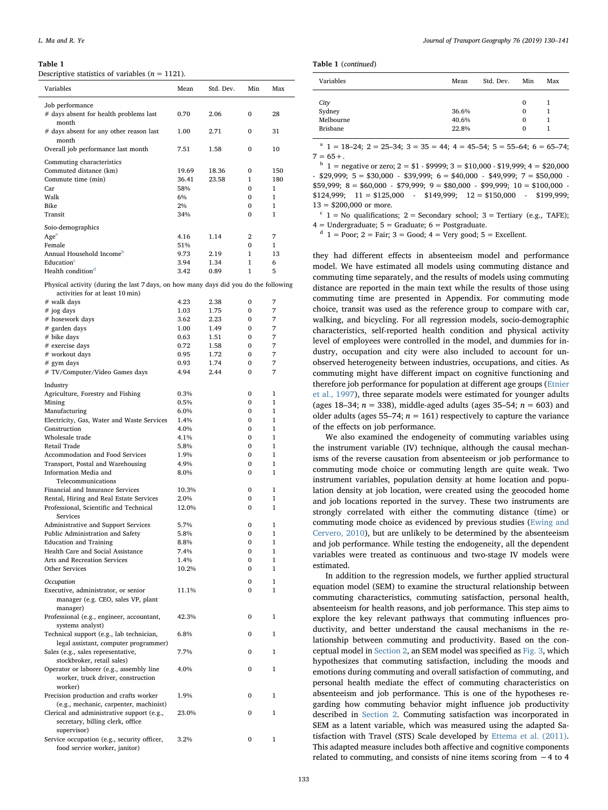<span id="page-3-0"></span>Descriptive statistics of variables ( $n = 1121$ ).

| Variables                                                                                                 | Mean         | Std. Dev.    | Min               | Max               |
|-----------------------------------------------------------------------------------------------------------|--------------|--------------|-------------------|-------------------|
| Job performance<br># days absent for health problems last                                                 | 0.70         | 2.06         | 0                 | 28                |
| month<br># days absent for any other reason last<br>month                                                 | 1.00         | 2.71         | 0                 | 31                |
| Overall job performance last month                                                                        | 7.51         | 1.58         | 0                 | 10                |
| Commuting characteristics<br>Commuted distance (km)                                                       | 19.69        | 18.36        | 0                 | 150               |
| Commute time (min)                                                                                        | 36.41        | 23.58        | 1                 | 180               |
| Car<br>Walk                                                                                               | 58%<br>6%    |              | 0<br>0            | 1<br>$\mathbf{1}$ |
| Bike                                                                                                      | 2%           |              | 0                 | $\mathbf{1}$      |
| Transit                                                                                                   | 34%          |              | 0                 | 1                 |
| Soio-demographics                                                                                         |              |              |                   |                   |
| Age <sup>a</sup>                                                                                          | 4.16         | 1.14         | 2                 | 7                 |
| Female                                                                                                    | 51%          |              | $\Omega$          | 1                 |
| Annual Household Income <sup>D</sup><br>Education <sup>c</sup>                                            | 9.73<br>3.94 | 2.19<br>1.34 | 1<br>$\mathbf{1}$ | 13<br>6           |
| Health condition <sup>d</sup>                                                                             | 3.42         | 0.89         | 1                 | 5                 |
| Physical activity (during the last 7 days, on how many days did you do the following                      |              |              |                   |                   |
| activities for at least 10 min)                                                                           |              |              |                   |                   |
| # walk days                                                                                               | 4.23         | 2.38         | 0                 | 7                 |
| # jog days<br># hosework days                                                                             | 1.03<br>3.62 | 1.75<br>2.23 | 0<br>0            | 7<br>7            |
| # garden days                                                                                             | 1.00         | 1.49         | 0                 | 7                 |
| # bike days                                                                                               | 0.63         | 1.51         | 0                 | 7                 |
| # exercise days                                                                                           | 0.72         | 1.58         | 0                 | 7                 |
| # workout days                                                                                            | 0.95         | 1.72<br>1.74 | 0                 | 7                 |
| # gym days<br># TV/Computer/Video Games days                                                              | 0.93<br>4.94 | 2.44         | 0<br>0            | 7<br>7            |
|                                                                                                           |              |              |                   |                   |
| Industry<br>Agriculture, Forestry and Fishing                                                             | 0.3%         |              | 0                 | 1                 |
| Mining                                                                                                    | 0.5%         |              | 0                 | 1                 |
| Manufacturing                                                                                             | 6.0%         |              | 0                 | $\mathbf{1}$      |
| Electricity, Gas, Water and Waste Services                                                                | 1.4%         |              | 0                 | $\mathbf{1}$      |
| Construction<br>Wholesale trade                                                                           | 4.0%<br>4.1% |              | 0<br>0            | 1<br>1            |
| Retail Trade                                                                                              | 5.8%         |              | 0                 | $\mathbf{1}$      |
| Accommodation and Food Services                                                                           | 1.9%         |              | 0                 | 1                 |
| Transport, Postal and Warehousing                                                                         | 4.9%         |              | 0                 | 1                 |
| Information Media and<br>Telecommunications                                                               | 8.0%         |              | 0                 | $\mathbf{1}$      |
| Financial and Insurance Services                                                                          | 10.3%        |              | 0                 | 1                 |
| Rental, Hiring and Real Estate Services                                                                   | 2.0%         |              | 0                 | 1                 |
| Professional, Scientific and Technical<br>Services                                                        | 12.0%        |              | 0                 | $\mathbf{1}$      |
| Administrative and Support Services                                                                       | 5.7%         |              | 0                 | 1                 |
| Public Administration and Safety                                                                          | 5.8%         |              | $\mathbf 0$       | $\mathbf{1}$      |
| <b>Education and Training</b><br>Health Care and Social Assistance                                        | 8.8%<br>7.4% |              | 0<br>0            | 1<br>$\mathbf{1}$ |
| Arts and Recreation Services                                                                              | 1.4%         |              | 0                 | $\mathbf{1}$      |
| Other Services                                                                                            | 10.2%        |              | 0                 | $\mathbf{1}$      |
| Occupation                                                                                                |              |              | 0                 | $\mathbf{1}$      |
| Executive, administrator, or senior<br>manager (e.g. CEO, sales VP, plant                                 | 11.1%        |              | 0                 | $\mathbf{1}$      |
| manager)                                                                                                  |              |              |                   |                   |
| Professional (e.g., engineer, accountant,<br>systems analyst)                                             | 42.3%        |              | 0                 | 1                 |
| Technical support (e.g., lab technician,                                                                  | 6.8%         |              | 0                 | 1                 |
| legal assistant, computer programmer)<br>Sales (e.g., sales representative,<br>stockbroker, retail sales) | 7.7%         |              | 0                 | 1                 |
| Operator or laborer (e.g., assembly line                                                                  | 4.0%         |              | 0                 | 1                 |
| worker, truck driver, construction<br>worker)                                                             |              |              |                   |                   |
| Precision production and crafts worker<br>(e.g., mechanic, carpenter, machinist)                          | 1.9%         |              | 0                 | 1                 |
| Clerical and administrative support (e.g.,<br>secretary, billing clerk, office<br>supervisor)             | 23.0%        |              | 0                 | 1                 |
| Service occupation (e.g., security officer,<br>food service worker, janitor)                              | 3.2%         |              | 0                 | 1                 |

|  | Table 1 (continued) |
|--|---------------------|
|--|---------------------|

| Variables                               | Mean                    | Std. Dev. | Min                            | Max |
|-----------------------------------------|-------------------------|-----------|--------------------------------|-----|
| City<br>Sydney<br>Melbourne<br>Brisbane | 36.6%<br>40.6%<br>22.8% |           | $\Omega$<br>0<br>0<br>$\Omega$ |     |

<span id="page-3-1"></span><sup>a</sup>  $1 = 18-24$ ;  $2 = 25-34$ ;  $3 = 35 = 44$ ;  $4 = 45-54$ ;  $5 = 55-64$ ;  $6 = 65-74$ ;  $7 = 65 + .$ 

<span id="page-3-2"></span> $b = 1$  = negative or zero; 2 = \$1 - \$9999; 3 = \$10,000 - \$19,999; 4 = \$20,000  $-$  \$29,999; 5 = \$30,000  $-$  \$39,999; 6 = \$40,000  $-$  \$49,999; 7 = \$50,000  $$59,999; 8 = $60,000 - $79,999; 9 = $80,000 - $99,999; 10 = $100,000 $124,999; 11 = $125,000 - $149,999; 12 = $150,000 - $199,999;$  $13 = $200,000$  or more.

<span id="page-3-3"></span> $c$  1 = No qualifications; 2 = Secondary school; 3 = Tertiary (e.g., TAFE);  $4 =$  Undergraduate;  $5 =$  Graduate;  $6 =$  Postgraduate.

<span id="page-3-4"></span> $d_1$  = Poor; 2 = Fair; 3 = Good; 4 = Very good; 5 = Excellent.

they had different effects in absenteeism model and performance model. We have estimated all models using commuting distance and commuting time separately, and the results of models using commuting distance are reported in the main text while the results of those using commuting time are presented in Appendix. For commuting mode choice, transit was used as the reference group to compare with car, walking, and bicycling. For all regression models, socio-demographic characteristics, self-reported health condition and physical activity level of employees were controlled in the model, and dummies for industry, occupation and city were also included to account for unobserved heterogeneity between industries, occupations, and cities. As commuting might have different impact on cognitive functioning and therefore job performance for population at different age groups [\(Etnier](#page-11-20) [et al., 1997](#page-11-20)), three separate models were estimated for younger adults (ages 18–34;  $n = 338$ ), middle-aged adults (ages 35–54;  $n = 603$ ) and older adults (ages 55–74;  $n = 161$ ) respectively to capture the variance of the effects on job performance.

We also examined the endogeneity of commuting variables using the instrument variable (IV) technique, although the causal mechanisms of the reverse causation from absenteeism or job performance to commuting mode choice or commuting length are quite weak. Two instrument variables, population density at home location and population density at job location, were created using the geocoded home and job locations reported in the survey. These two instruments are strongly correlated with either the commuting distance (time) or commuting mode choice as evidenced by previous studies ([Ewing and](#page-11-26) [Cervero, 2010](#page-11-26)), but are unlikely to be determined by the absenteeism and job performance. While testing the endogeneity, all the dependent variables were treated as continuous and two-stage IV models were estimated.

In addition to the regression models, we further applied structural equation model (SEM) to examine the structural relationship between commuting characteristics, commuting satisfaction, personal health, absenteeism for health reasons, and job performance. This step aims to explore the key relevant pathways that commuting influences productivity, and better understand the causal mechanisms in the relationship between commuting and productivity. Based on the conceptual model in [Section 2,](#page-1-0) an SEM model was specified as [Fig. 3](#page-4-1), which hypothesizes that commuting satisfaction, including the moods and emotions during commuting and overall satisfaction of commuting, and personal health mediate the effect of commuting characteristics on absenteeism and job performance. This is one of the hypotheses regarding how commuting behavior might influence job productivity described in [Section 2](#page-1-0). Commuting satisfaction was incorporated in SEM as a latent variable, which was measured using the adapted Satisfaction with Travel (STS) Scale developed by [Ettema et al. \(2011\)](#page-11-27). This adapted measure includes both affective and cognitive components related to commuting, and consists of nine items scoring from −4 to 4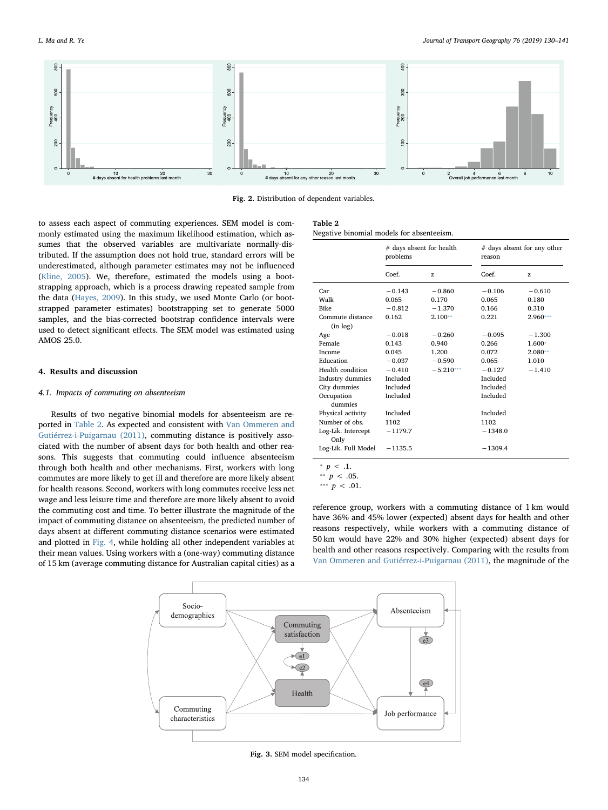<span id="page-4-0"></span>

Fig. 2. Distribution of dependent variables.

to assess each aspect of commuting experiences. SEM model is commonly estimated using the maximum likelihood estimation, which assumes that the observed variables are multivariate normally-distributed. If the assumption does not hold true, standard errors will be underestimated, although parameter estimates may not be influenced ([Kline, 2005](#page-11-28)). We, therefore, estimated the models using a bootstrapping approach, which is a process drawing repeated sample from the data [\(Hayes, 2009\)](#page-11-29). In this study, we used Monte Carlo (or bootstrapped parameter estimates) bootstrapping set to generate 5000 samples, and the bias-corrected bootstrap confidence intervals were used to detect significant effects. The SEM model was estimated using AMOS 25.0.

## 4. Results and discussion

# 4.1. Impacts of commuting on absenteeism

Results of two negative binomial models for absenteeism are reported in [Table 2.](#page-4-2) As expected and consistent with [Van Ommeren and](#page-11-10) [Gutiérrez-i-Puigarnau \(2011\),](#page-11-10) commuting distance is positively associated with the number of absent days for both health and other reasons. This suggests that commuting could influence absenteeism through both health and other mechanisms. First, workers with long commutes are more likely to get ill and therefore are more likely absent for health reasons. Second, workers with long commutes receive less net wage and less leisure time and therefore are more likely absent to avoid the commuting cost and time. To better illustrate the magnitude of the impact of commuting distance on absenteeism, the predicted number of days absent at different commuting distance scenarios were estimated and plotted in [Fig. 4](#page-5-0), while holding all other independent variables at their mean values. Using workers with a (one-way) commuting distance of 15 km (average commuting distance for Australian capital cities) as a

<span id="page-4-2"></span>

| Table |  |
|-------|--|
|       |  |

Negative binomial models for absenteeism.

|                     | # days absent for health<br>problems |             | # days absent for any other<br>reason |            |
|---------------------|--------------------------------------|-------------|---------------------------------------|------------|
|                     | Coef.                                | z           | Coef.                                 | z          |
| Car                 | $-0.143$                             | $-0.860$    | $-0.106$                              | $-0.610$   |
| Walk                | 0.065                                | 0.170       | 0.065                                 | 0.180      |
| <b>Bike</b>         | $-0.812$                             | $-1.370$    | 0.166                                 | 0.310      |
| Commute distance    | 0.162                                | $2.100**$   | 0.221                                 | $2.960***$ |
| (in log)            |                                      |             |                                       |            |
| Age                 | $-0.018$                             | $-0.260$    | $-0.095$                              | $-1.300$   |
| Female              | 0.143                                | 0.940       | 0.266                                 | 1.600*     |
| Income              | 0.045                                | 1.200       | 0.072                                 | $2.080**$  |
| Education           | $-0.037$                             | $-0.590$    | 0.065                                 | 1.010      |
| Health condition    | $-0.410$                             | $-5.210***$ | $-0.127$                              | $-1.410$   |
| Industry dummies    | Included                             |             | Included                              |            |
| City dummies        | Included                             |             | Included                              |            |
| Occupation          | Included                             |             | Included                              |            |
| dummies             |                                      |             |                                       |            |
| Physical activity   | Included                             |             | Included                              |            |
| Number of obs.      | 1102                                 |             | 1102                                  |            |
| Log-Lik. Intercept  | $-1179.7$                            |             | $-1348.0$                             |            |
| Only                |                                      |             |                                       |            |
| Log-Lik. Full Model | $-1135.5$                            |             | $-1309.4$                             |            |
| ÷<br>$p \lt 0.1$ .  |                                      |             |                                       |            |

<span id="page-4-5"></span><span id="page-4-3"></span><sup>∗</sup>*∗ p* < .05.

<span id="page-4-4"></span>\*\*\*  $p < .01$ .

reference group, workers with a commuting distance of 1 km would have 36% and 45% lower (expected) absent days for health and other reasons respectively, while workers with a commuting distance of 50 km would have 22% and 30% higher (expected) absent days for health and other reasons respectively. Comparing with the results from [Van Ommeren and Gutiérrez-i-Puigarnau \(2011\),](#page-11-10) the magnitude of the

<span id="page-4-1"></span>

Fig. 3. SEM model specification.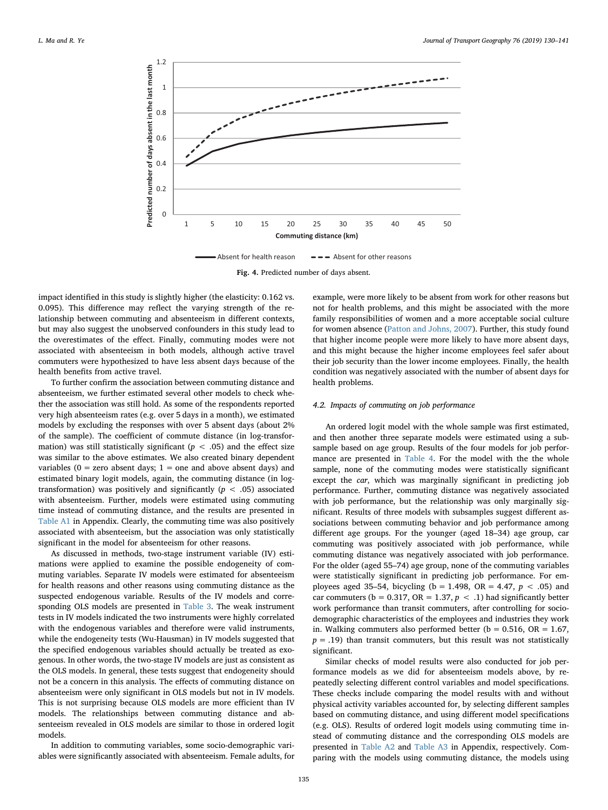<span id="page-5-0"></span>

Fig. 4. Predicted number of days absent.

impact identified in this study is slightly higher (the elasticity: 0.162 vs. 0.095). This difference may reflect the varying strength of the relationship between commuting and absenteeism in different contexts, but may also suggest the unobserved confounders in this study lead to the overestimates of the effect. Finally, commuting modes were not associated with absenteeism in both models, although active travel commuters were hypothesized to have less absent days because of the health benefits from active travel.

To further confirm the association between commuting distance and absenteeism, we further estimated several other models to check whether the association was still hold. As some of the respondents reported very high absenteeism rates (e.g. over 5 days in a month), we estimated models by excluding the responses with over 5 absent days (about 2% of the sample). The coefficient of commute distance (in log-transformation) was still statistically significant ( $p < .05$ ) and the effect size was similar to the above estimates. We also created binary dependent variables ( $0 =$  zero absent days;  $1 =$  one and above absent days) and estimated binary logit models, again, the commuting distance (in logtransformation) was positively and significantly  $(p < .05)$  associated with absenteeism. Further, models were estimated using commuting time instead of commuting distance, and the results are presented in [Table A1](#page-9-0) in Appendix. Clearly, the commuting time was also positively associated with absenteeism, but the association was only statistically significant in the model for absenteeism for other reasons.

As discussed in methods, two-stage instrument variable (IV) estimations were applied to examine the possible endogeneity of commuting variables. Separate IV models were estimated for absenteeism for health reasons and other reasons using commuting distance as the suspected endogenous variable. Results of the IV models and corresponding OLS models are presented in [Table 3.](#page-6-0) The weak instrument tests in IV models indicated the two instruments were highly correlated with the endogenous variables and therefore were valid instruments, while the endogeneity tests (Wu-Hausman) in IV models suggested that the specified endogenous variables should actually be treated as exogenous. In other words, the two-stage IV models are just as consistent as the OLS models. In general, these tests suggest that endogeneity should not be a concern in this analysis. The effects of commuting distance on absenteeism were only significant in OLS models but not in IV models. This is not surprising because OLS models are more efficient than IV models. The relationships between commuting distance and absenteeism revealed in OLS models are similar to those in ordered logit models.

In addition to commuting variables, some socio-demographic variables were significantly associated with absenteeism. Female adults, for example, were more likely to be absent from work for other reasons but not for health problems, and this might be associated with the more family responsibilities of women and a more acceptable social culture for women absence ([Patton and Johns, 2007\)](#page-11-30). Further, this study found that higher income people were more likely to have more absent days, and this might because the higher income employees feel safer about their job security than the lower income employees. Finally, the health condition was negatively associated with the number of absent days for health problems.

## 4.2. Impacts of commuting on job performance

An ordered logit model with the whole sample was first estimated, and then another three separate models were estimated using a subsample based on age group. Results of the four models for job performance are presented in [Table 4.](#page-6-1) For the model with the the whole sample, none of the commuting modes were statistically significant except the car, which was marginally significant in predicting job performance. Further, commuting distance was negatively associated with job performance, but the relationship was only marginally significant. Results of three models with subsamples suggest different associations between commuting behavior and job performance among different age groups. For the younger (aged 18–34) age group, car commuting was positively associated with job performance, while commuting distance was negatively associated with job performance. For the older (aged 55–74) age group, none of the commuting variables were statistically significant in predicting job performance. For employees aged 35–54, bicycling (b = 1.498, OR = 4.47,  $p < .05$ ) and car commuters ( $b = 0.317$ , OR = 1.37,  $p < .1$ ) had significantly better work performance than transit commuters, after controlling for sociodemographic characteristics of the employees and industries they work in. Walking commuters also performed better ( $b = 0.516$ , OR = 1.67,  $p = .19$ ) than transit commuters, but this result was not statistically significant.

Similar checks of model results were also conducted for job performance models as we did for absenteeism models above, by repeatedly selecting different control variables and model specifications. These checks include comparing the model results with and without physical activity variables accounted for, by selecting different samples based on commuting distance, and using different model specifications (e.g. OLS). Results of ordered logit models using commuting time instead of commuting distance and the corresponding OLS models are presented in [Table A2](#page-10-0) and [Table A3](#page-10-1) in Appendix, respectively. Comparing with the models using commuting distance, the models using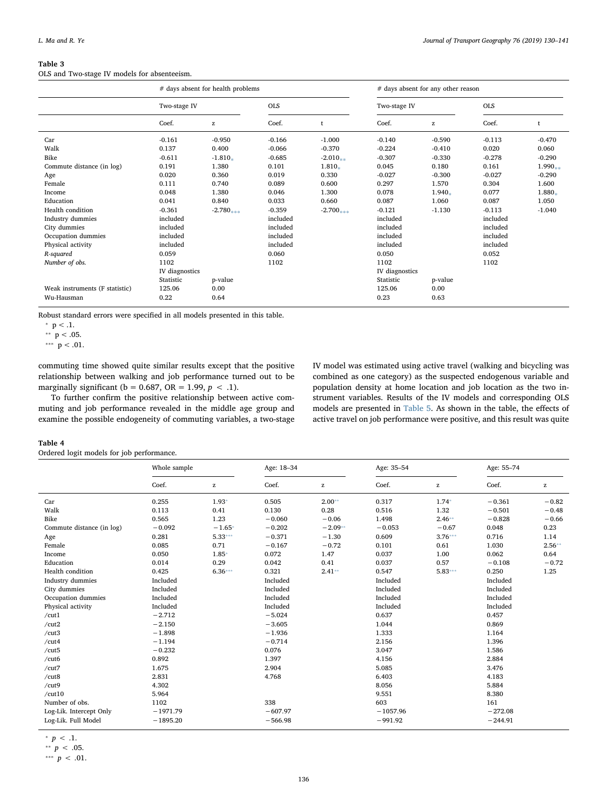<span id="page-6-0"></span>OLS and Two-stage IV models for absenteeism.

|                                | # days absent for health problems |                    |            | # days absent for any other reason |                |              |            |           |
|--------------------------------|-----------------------------------|--------------------|------------|------------------------------------|----------------|--------------|------------|-----------|
|                                | Two-stage IV                      |                    | <b>OLS</b> |                                    | Two-stage IV   |              | <b>OLS</b> |           |
|                                | Coef.                             | $\mathbf{Z}% _{0}$ | Coef.      |                                    | Coef.          | $\mathbf{z}$ | Coef.      |           |
| Car                            | $-0.161$                          | $-0.950$           | $-0.166$   | $-1.000$                           | $-0.140$       | $-0.590$     | $-0.113$   | $-0.470$  |
| Walk                           | 0.137                             | 0.400              | $-0.066$   | $-0.370$                           | $-0.224$       | $-0.410$     | 0.020      | 0.060     |
| Bike                           | $-0.611$                          | $-1.810*$          | $-0.685$   | $-2.010_{***}$                     | $-0.307$       | $-0.330$     | $-0.278$   | $-0.290$  |
| Commute distance (in log)      | 0.191                             | 1.380              | 0.101      | 1.810.                             | 0.045          | 0.180        | 0.161      | $1.990**$ |
| Age                            | 0.020                             | 0.360              | 0.019      | 0.330                              | $-0.027$       | $-0.300$     | $-0.027$   | $-0.290$  |
| Female                         | 0.111                             | 0.740              | 0.089      | 0.600                              | 0.297          | 1.570        | 0.304      | 1.600     |
| Income                         | 0.048                             | 1.380              | 0.046      | 1.300                              | 0.078          | 1.940.       | 0.077      | $1.880*$  |
| Education                      | 0.041                             | 0.840              | 0.033      | 0.660                              | 0.087          | 1.060        | 0.087      | 1.050     |
| Health condition               | $-0.361$                          | $-2.780$ ***       | $-0.359$   | $-2.700$ ***                       | $-0.121$       | $-1.130$     | $-0.113$   | $-1.040$  |
| Industry dummies               | included                          |                    | included   |                                    | included       |              | included   |           |
| City dummies                   | included                          |                    | included   |                                    | included       |              | included   |           |
| Occupation dummies             | included                          |                    | included   |                                    | included       |              | included   |           |
| Physical activity              | included                          |                    | included   |                                    | included       |              | included   |           |
| R-squared                      | 0.059                             |                    | 0.060      |                                    | 0.050          |              | 0.052      |           |
| Number of obs.                 | 1102                              |                    | 1102       |                                    | 1102           |              | 1102       |           |
|                                | IV diagnostics                    |                    |            |                                    | IV diagnostics |              |            |           |
|                                | Statistic                         | p-value            |            |                                    | Statistic      | p-value      |            |           |
| Weak instruments (F statistic) | 125.06                            | 0.00               |            |                                    | 125.06         | 0.00         |            |           |
| Wu-Hausman                     | 0.22                              | 0.64               |            |                                    | 0.23           | 0.63         |            |           |

Robust standard errors were specified in all models presented in this table.

<span id="page-6-2"></span> $^\ast$  p  $<$  .1.

<span id="page-6-3"></span> $*$  p < .05.

<span id="page-6-4"></span>\*\*\*  $p < .01$ .

commuting time showed quite similar results except that the positive relationship between walking and job performance turned out to be marginally significant ( $b = 0.687$ , OR = 1.99,  $p < .1$ ).

To further confirm the positive relationship between active commuting and job performance revealed in the middle age group and examine the possible endogeneity of commuting variables, a two-stage IV model was estimated using active travel (walking and bicycling was combined as one category) as the suspected endogenous variable and population density at home location and job location as the two instrument variables. Results of the IV models and corresponding OLS models are presented in [Table 5](#page-7-0). As shown in the table, the effects of active travel on job performance were positive, and this result was quite

## <span id="page-6-1"></span>Table 4

Ordered logit models for job performance.

|                           | Whole sample |              | Age: 18-34 |              | Age: 35-54 |              |           | Age: 55-74   |  |
|---------------------------|--------------|--------------|------------|--------------|------------|--------------|-----------|--------------|--|
|                           | Coef.        | $\mathbf{z}$ | Coef.      | $\mathbf{z}$ | Coef.      | $\mathbf{z}$ | Coef.     | $\mathbf{z}$ |  |
| Car                       | 0.255        | $1.93*$      | 0.505      | $2.00**$     | 0.317      | $1.74*$      | $-0.361$  | $-0.82$      |  |
| Walk                      | 0.113        | 0.41         | 0.130      | 0.28         | 0.516      | 1.32         | $-0.501$  | $-0.48$      |  |
| Bike                      | 0.565        | 1.23         | $-0.060$   | $-0.06$      | 1.498      | $2.46**$     | $-0.828$  | $-0.66$      |  |
| Commute distance (in log) | $-0.092$     | $-1.65*$     | $-0.202$   | $-2.09**$    | $-0.053$   | $-0.67$      | 0.048     | 0.23         |  |
| Age                       | 0.281        | $5.33***$    | $-0.371$   | $-1.30$      | 0.609      | $3.76***$    | 0.716     | 1.14         |  |
| Female                    | 0.085        | 0.71         | $-0.167$   | $-0.72$      | 0.101      | 0.61         | 1.030     | $2.56**$     |  |
| Income                    | 0.050        | 1.85*        | 0.072      | 1.47         | 0.037      | 1.00         | 0.062     | 0.64         |  |
| Education                 | 0.014        | 0.29         | 0.042      | 0.41         | 0.037      | 0.57         | $-0.108$  | $-0.72$      |  |
| Health condition          | 0.425        | $6.36***$    | 0.321      | $2.41**$     | 0.547      | $5.83***$    | 0.250     | 1.25         |  |
| Industry dummies          | Included     |              | Included   |              | Included   |              | Included  |              |  |
| City dummies              | Included     |              | Included   |              | Included   |              | Included  |              |  |
| Occupation dummies        | Included     |              | Included   |              | Included   |              | Included  |              |  |
| Physical activity         | Included     |              | Included   |              | Included   |              | Included  |              |  |
| /cut1                     | $-2.712$     |              | $-5.024$   |              | 0.637      |              | 0.457     |              |  |
| /cut2                     | $-2.150$     |              | $-3.605$   |              | 1.044      |              | 0.869     |              |  |
| /cut3                     | $-1.898$     |              | $-1.936$   |              | 1.333      |              | 1.164     |              |  |
| /cut4                     | $-1.194$     |              | $-0.714$   |              | 2.156      |              | 1.396     |              |  |
| /cut5                     | $-0.232$     |              | 0.076      |              | 3.047      |              | 1.586     |              |  |
| /cut6                     | 0.892        |              | 1.397      |              | 4.156      |              | 2.884     |              |  |
| /cut7                     | 1.675        |              | 2.904      |              | 5.085      |              | 3.476     |              |  |
| /cut8                     | 2.831        |              | 4.768      |              | 6.403      |              | 4.183     |              |  |
| /cut9                     | 4.302        |              |            |              | 8.056      |              | 5.884     |              |  |
| /cut10                    | 5.964        |              |            |              | 9.551      |              | 8.380     |              |  |
| Number of obs.            | 1102         |              | 338        |              | 603        |              | 161       |              |  |
| Log-Lik. Intercept Only   | $-1971.79$   |              | $-607.97$  |              | $-1057.96$ |              | $-272.08$ |              |  |
| Log-Lik. Full Model       | $-1895.20$   |              | $-566.98$  |              | $-991.92$  |              | $-244.91$ |              |  |

<span id="page-6-5"></span> $^\ast$   $p$   $<$  .1.

<span id="page-6-6"></span>\*\*  $p < .05$ .

<span id="page-6-7"></span>\*\*\*  $p < .01$ .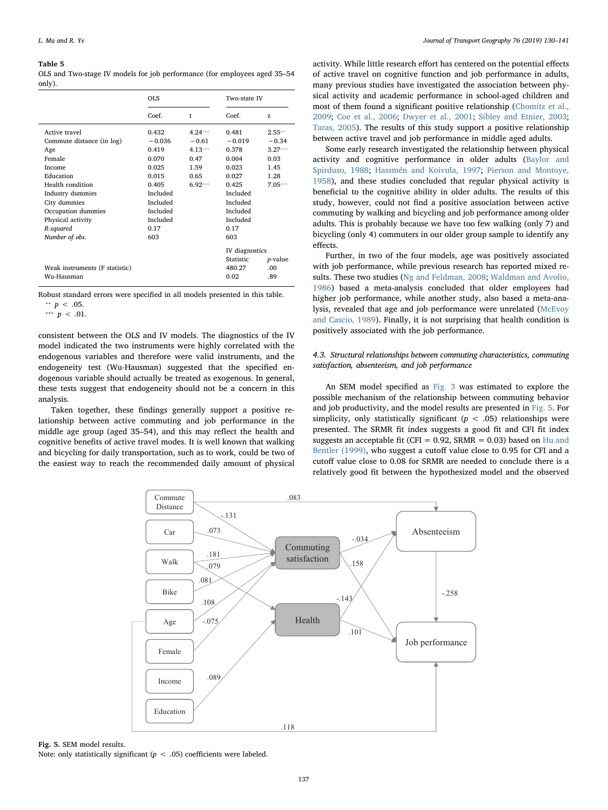<span id="page-7-0"></span>OLS and Two-stage IV models for job performance (for employees aged 35–54 only).

|                                                                                                                                                                                                                      | <b>OLS</b>                                                                                                                    |                                                                        | Two-state IV                                                                                                                  |                                                                       |
|----------------------------------------------------------------------------------------------------------------------------------------------------------------------------------------------------------------------|-------------------------------------------------------------------------------------------------------------------------------|------------------------------------------------------------------------|-------------------------------------------------------------------------------------------------------------------------------|-----------------------------------------------------------------------|
|                                                                                                                                                                                                                      | Coef.                                                                                                                         | t                                                                      | Coef.                                                                                                                         | Z.                                                                    |
| Active travel<br>Commute distance (in log)<br>Age<br>Female<br>Income<br>Education<br>Health condition<br>Industry dummies<br>City dummies<br>Occupation dummies<br>Physical activity<br>R-squared<br>Number of obs. | 0.432<br>$-0.036$<br>0.419<br>0.070<br>0.025<br>0.015<br>0.405<br>Included<br>Included<br>Included<br>Included<br>0.17<br>603 | $4.24***$<br>$-0.61$<br>$4.13***$<br>0.47<br>1.59<br>0.65<br>$6.92***$ | 0.481<br>$-0.019$<br>0.378<br>0.004<br>0.023<br>0.027<br>0.425<br>Included<br>Included<br>Included<br>Included<br>0.17<br>603 | $2.55**$<br>$-0.34$<br>$3.27***$<br>0.03<br>1.45<br>1.28<br>$7.05***$ |
| Weak instruments (F statistic)<br>Wu-Hausman                                                                                                                                                                         |                                                                                                                               |                                                                        | IV diagnostics<br>Statistic<br>480.27<br>0.02                                                                                 | <i>p</i> -value<br>.00<br>.89                                         |

<span id="page-7-3"></span>Robust standard errors were specified in all models presented in this table. <sup>∗</sup>*∗ p* < .05.

<span id="page-7-2"></span>\*\*\*  $p < .01$ .

consistent between the OLS and IV models. The diagnostics of the IV model indicated the two instruments were highly correlated with the endogenous variables and therefore were valid instruments, and the endogeneity test (Wu-Hausman) suggested that the specified endogenous variable should actually be treated as exogenous. In general, these tests suggest that endogeneity should not be a concern in this analysis.

<span id="page-7-1"></span>Taken together, these findings generally support a positive relationship between active commuting and job performance in the middle age group (aged 35–54), and this may reflect the health and cognitive benefits of active travel modes. It is well known that walking and bicycling for daily transportation, such as to work, could be two of the easiest way to reach the recommended daily amount of physical

activity. While little research effort has centered on the potential effects of active travel on cognitive function and job performance in adults, many previous studies have investigated the association between physical activity and academic performance in school-aged children and most of them found a significant positive relationship [\(Chomitz et al.,](#page-11-31) [2009;](#page-11-31) [Coe et al., 2006](#page-11-32); [Dwyer et al., 2001](#page-11-33); [Sibley and Etnier, 2003](#page-11-34); [Taras, 2005](#page-11-35)). The results of this study support a positive relationship between active travel and job performance in middle aged adults.

Some early research investigated the relationship between physical activity and cognitive performance in older adults ([Baylor and](#page-11-36) [Spirduso, 1988](#page-11-36); [Hassmén and Koivula, 1997](#page-11-37); [Pierson and Montoye,](#page-11-38) [1958\)](#page-11-38), and these studies concluded that regular physical activity is beneficial to the cognitive ability in older adults. The results of this study, however, could not find a positive association between active commuting by walking and bicycling and job performance among older adults. This is probably because we have too few walking (only 7) and bicycling (only 4) commuters in our older group sample to identify any effects.

Further, in two of the four models, age was positively associated with job performance, while previous research has reported mixed results. These two studies [\(Ng and Feldman, 2008](#page-11-39); [Waldman and Avolio,](#page-11-40) [1986\)](#page-11-40) based a meta-analysis concluded that older employees had higher job performance, while another study, also based a meta-analysis, revealed that age and job performance were unrelated ([McEvoy](#page-11-41) [and Cascio, 1989](#page-11-41)). Finally, it is not surprising that health condition is positively associated with the job performance.

# 4.3. Structural relationships between commuting characteristics, commuting satisfaction, absenteeism, and job performance

An SEM model specified as [Fig. 3](#page-4-1) was estimated to explore the possible mechanism of the relationship between commuting behavior and job productivity, and the model results are presented in [Fig. 5](#page-7-1). For simplicity, only statistically significant ( $p < .05$ ) relationships were presented. The SRMR fit index suggests a good fit and CFI fit index suggests an acceptable fit (CFI =  $0.92$ , SRMR =  $0.03$ ) based on [Hu and](#page-11-42) [Bentler \(1999\),](#page-11-42) who suggest a cutoff value close to 0.95 for CFI and a cutoff value close to 0.08 for SRMR are needed to conclude there is a relatively good fit between the hypothesized model and the observed



Fig. 5. SEM model results. Note: only statistically significant ( $p < .05$ ) coefficients were labeled.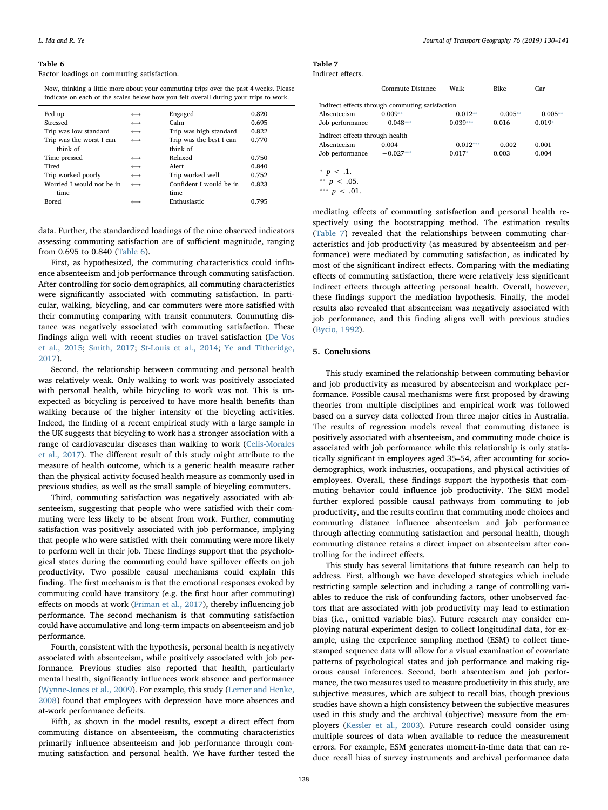<span id="page-8-0"></span>Factor loadings on commuting satisfaction.

| Now, thinking a little more about your commuting trips over the past 4 weeks. Please |
|--------------------------------------------------------------------------------------|
| indicate on each of the scales below how you felt overall during your trips to work. |

| Fed up   |                           | $\longleftrightarrow$ | Engaged                 | 0.820 |
|----------|---------------------------|-----------------------|-------------------------|-------|
| Stressed |                           | $\longleftrightarrow$ | Calm                    | 0.695 |
|          | Trip was low standard     |                       | Trip was high standard  | 0.822 |
|          | Trip was the worst I can  |                       | Trip was the best I can | 0.770 |
|          | think of                  |                       | think of                |       |
|          | Time pressed              | $\longleftrightarrow$ | Relaxed                 | 0.750 |
| Tired    |                           | $\longleftrightarrow$ | Alert                   | 0.840 |
|          | Trip worked poorly        | $\longleftrightarrow$ | Trip worked well        | 0.752 |
|          | Worried I would not be in |                       | Confident I would be in | 0.823 |
|          | time                      |                       | time                    |       |
| Bored    |                           |                       | Enthusiastic            | 0.795 |
|          |                           |                       |                         |       |

data. Further, the standardized loadings of the nine observed indicators assessing commuting satisfaction are of sufficient magnitude, ranging from 0.695 to 0.840 [\(Table 6](#page-8-0)).

First, as hypothesized, the commuting characteristics could influence absenteeism and job performance through commuting satisfaction. After controlling for socio-demographics, all commuting characteristics were significantly associated with commuting satisfaction. In particular, walking, bicycling, and car commuters were more satisfied with their commuting comparing with transit commuters. Commuting distance was negatively associated with commuting satisfaction. These findings align well with recent studies on travel satisfaction [\(De Vos](#page-11-43) [et al., 2015](#page-11-43); [Smith, 2017](#page-11-44); [St-Louis et al., 2014;](#page-11-45) [Ye and Titheridge,](#page-11-46) [2017\)](#page-11-46).

Second, the relationship between commuting and personal health was relatively weak. Only walking to work was positively associated with personal health, while bicycling to work was not. This is unexpected as bicycling is perceived to have more health benefits than walking because of the higher intensity of the bicycling activities. Indeed, the finding of a recent empirical study with a large sample in the UK suggests that bicycling to work has a stronger association with a range of cardiovascular diseases than walking to work [\(Celis-Morales](#page-11-47) [et al., 2017](#page-11-47)). The different result of this study might attribute to the measure of health outcome, which is a generic health measure rather than the physical activity focused health measure as commonly used in previous studies, as well as the small sample of bicycling commuters.

Third, commuting satisfaction was negatively associated with absenteeism, suggesting that people who were satisfied with their commuting were less likely to be absent from work. Further, commuting satisfaction was positively associated with job performance, implying that people who were satisfied with their commuting were more likely to perform well in their job. These findings support that the psychological states during the commuting could have spillover effects on job productivity. Two possible causal mechanisms could explain this finding. The first mechanism is that the emotional responses evoked by commuting could have transitory (e.g. the first hour after commuting) effects on moods at work [\(Friman et al., 2017\)](#page-11-15), thereby influencing job performance. The second mechanism is that commuting satisfaction could have accumulative and long-term impacts on absenteeism and job performance.

Fourth, consistent with the hypothesis, personal health is negatively associated with absenteeism, while positively associated with job performance. Previous studies also reported that health, particularly mental health, significantly influences work absence and performance ([Wynne-Jones et al., 2009](#page-11-48)). For example, this study ([Lerner and Henke,](#page-11-49) [2008\)](#page-11-49) found that employees with depression have more absences and at-work performance deficits.

Fifth, as shown in the model results, except a direct effect from commuting distance on absenteeism, the commuting characteristics primarily influence absenteeism and job performance through commuting satisfaction and personal health. We have further tested the

<span id="page-8-1"></span>

| Table 7           |  |
|-------------------|--|
| Indirect effects. |  |

|                                                 | Commute Distance | Walk        | <b>Bike</b> | Car        |  |  |  |
|-------------------------------------------------|------------------|-------------|-------------|------------|--|--|--|
| Indirect effects through commuting satisfaction |                  |             |             |            |  |  |  |
| Absenteeism                                     | $0.009**$        | $-0.012**$  | $-0.005**$  | $-0.005**$ |  |  |  |
| Job performance                                 | $-0.048***$      | $0.039***$  | 0.016       | $0.019*$   |  |  |  |
| Indirect effects through health                 |                  |             |             |            |  |  |  |
| Absenteeism                                     | 0.004            | $-0.012***$ | $-0.002$    | 0.001      |  |  |  |
| Job performance                                 | $-0.027***$      | $0.017*$    | 0.003       | 0.004      |  |  |  |
|                                                 |                  |             |             |            |  |  |  |

<span id="page-8-4"></span>\*  $p < .1$ .

<span id="page-8-2"></span>\*\*  $p < .05$ .

<span id="page-8-3"></span>\*\*\*  $p < .01$ .

mediating effects of commuting satisfaction and personal health respectively using the bootstrapping method. The estimation results ([Table 7\)](#page-8-1) revealed that the relationships between commuting characteristics and job productivity (as measured by absenteeism and performance) were mediated by commuting satisfaction, as indicated by most of the significant indirect effects. Comparing with the mediating effects of commuting satisfaction, there were relatively less significant indirect effects through affecting personal health. Overall, however, these findings support the mediation hypothesis. Finally, the model results also revealed that absenteeism was negatively associated with job performance, and this finding aligns well with previous studies ([Bycio, 1992\)](#page-11-50).

#### 5. Conclusions

This study examined the relationship between commuting behavior and job productivity as measured by absenteeism and workplace performance. Possible causal mechanisms were first proposed by drawing theories from multiple disciplines and empirical work was followed based on a survey data collected from three major cities in Australia. The results of regression models reveal that commuting distance is positively associated with absenteeism, and commuting mode choice is associated with job performance while this relationship is only statistically significant in employees aged 35–54, after accounting for sociodemographics, work industries, occupations, and physical activities of employees. Overall, these findings support the hypothesis that commuting behavior could influence job productivity. The SEM model further explored possible causal pathways from commuting to job productivity, and the results confirm that commuting mode choices and commuting distance influence absenteeism and job performance through affecting commuting satisfaction and personal health, though commuting distance retains a direct impact on absenteeism after controlling for the indirect effects.

This study has several limitations that future research can help to address. First, although we have developed strategies which include restricting sample selection and including a range of controlling variables to reduce the risk of confounding factors, other unobserved factors that are associated with job productivity may lead to estimation bias (i.e., omitted variable bias). Future research may consider employing natural experiment design to collect longitudinal data, for example, using the experience sampling method (ESM) to collect timestamped sequence data will allow for a visual examination of covariate patterns of psychological states and job performance and making rigorous causal inferences. Second, both absenteeism and job performance, the two measures used to measure productivity in this study, are subjective measures, which are subject to recall bias, though previous studies have shown a high consistency between the subjective measures used in this study and the archival (objective) measure from the employers [\(Kessler et al., 2003\)](#page-11-24). Future research could consider using multiple sources of data when available to reduce the measurement errors. For example, ESM generates moment-in-time data that can reduce recall bias of survey instruments and archival performance data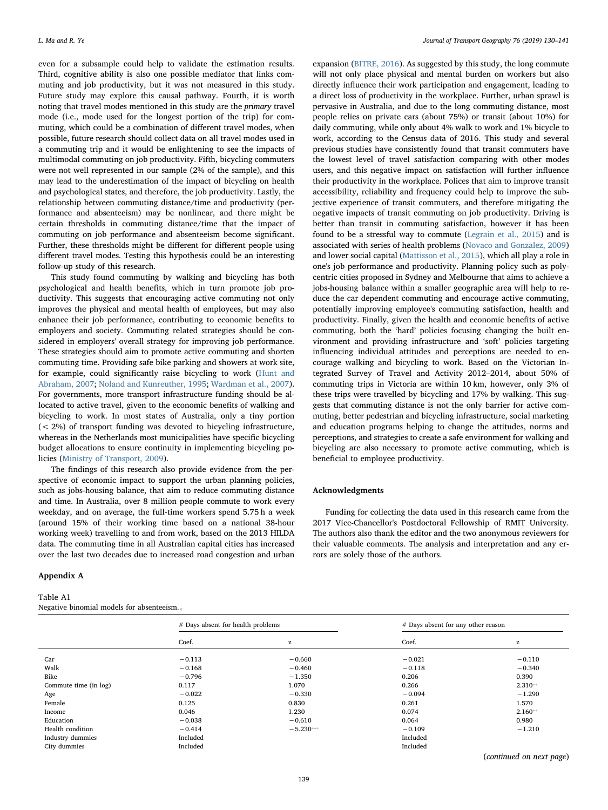even for a subsample could help to validate the estimation results. Third, cognitive ability is also one possible mediator that links commuting and job productivity, but it was not measured in this study. Future study may explore this causal pathway. Fourth, it is worth noting that travel modes mentioned in this study are the primary travel mode (i.e., mode used for the longest portion of the trip) for commuting, which could be a combination of different travel modes, when possible, future research should collect data on all travel modes used in a commuting trip and it would be enlightening to see the impacts of multimodal commuting on job productivity. Fifth, bicycling commuters were not well represented in our sample (2% of the sample), and this may lead to the underestimation of the impact of bicycling on health and psychological states, and therefore, the job productivity. Lastly, the relationship between commuting distance/time and productivity (performance and absenteeism) may be nonlinear, and there might be certain thresholds in commuting distance/time that the impact of commuting on job performance and absenteeism become significant. Further, these thresholds might be different for different people using different travel modes. Testing this hypothesis could be an interesting follow-up study of this research.

This study found commuting by walking and bicycling has both psychological and health benefits, which in turn promote job productivity. This suggests that encouraging active commuting not only improves the physical and mental health of employees, but may also enhance their job performance, contributing to economic benefits to employers and society. Commuting related strategies should be considered in employers' overall strategy for improving job performance. These strategies should aim to promote active commuting and shorten commuting time. Providing safe bike parking and showers at work site, for example, could significantly raise bicycling to work ([Hunt and](#page-11-51) [Abraham, 2007](#page-11-51); [Noland and Kunreuther, 1995](#page-11-52); [Wardman et al., 2007](#page-11-53)). For governments, more transport infrastructure funding should be allocated to active travel, given to the economic benefits of walking and bicycling to work. In most states of Australia, only a tiny portion (< 2%) of transport funding was devoted to bicycling infrastructure, whereas in the Netherlands most municipalities have specific bicycling budget allocations to ensure continuity in implementing bicycling policies [\(Ministry of Transport, 2009](#page-11-54)).

The findings of this research also provide evidence from the perspective of economic impact to support the urban planning policies, such as jobs-housing balance, that aim to reduce commuting distance and time. In Australia, over 8 million people commute to work every weekday, and on average, the full-time workers spend 5.75 h a week (around 15% of their working time based on a national 38-hour working week) travelling to and from work, based on the 2013 HILDA data. The commuting time in all Australian capital cities has increased over the last two decades due to increased road congestion and urban

# Appendix A

<span id="page-9-0"></span>Table A1 Negative binomial models for absenteeism.

expansion [\(BITRE, 2016](#page-11-55)). As suggested by this study, the long commute will not only place physical and mental burden on workers but also directly influence their work participation and engagement, leading to a direct loss of productivity in the workplace. Further, urban sprawl is pervasive in Australia, and due to the long commuting distance, most people relies on private cars (about 75%) or transit (about 10%) for daily commuting, while only about 4% walk to work and 1% bicycle to work, according to the Census data of 2016. This study and several previous studies have consistently found that transit commuters have the lowest level of travel satisfaction comparing with other modes users, and this negative impact on satisfaction will further influence their productivity in the workplace. Polices that aim to improve transit accessibility, reliability and frequency could help to improve the subjective experience of transit commuters, and therefore mitigating the negative impacts of transit commuting on job productivity. Driving is better than transit in commuting satisfaction, however it has been found to be a stressful way to commute (Legrain [et al., 2015\)](#page-11-56) and is associated with series of health problems [\(Novaco and Gonzalez, 2009\)](#page-11-57) and lower social capital ([Mattisson et al., 2015](#page-11-58)), which all play a role in one's job performance and productivity. Planning policy such as polycentric cities proposed in Sydney and Melbourne that aims to achieve a jobs-housing balance within a smaller geographic area will help to reduce the car dependent commuting and encourage active commuting, potentially improving employee's commuting satisfaction, health and productivity. Finally, given the health and economic benefits of active commuting, both the 'hard' policies focusing changing the built environment and providing infrastructure and 'soft' policies targeting influencing individual attitudes and perceptions are needed to encourage walking and bicycling to work. Based on the Victorian Integrated Survey of Travel and Activity 2012–2014, about 50% of commuting trips in Victoria are within 10 km, however, only 3% of these trips were travelled by bicycling and 17% by walking. This suggests that commuting distance is not the only barrier for active commuting, better pedestrian and bicycling infrastructure, social marketing and education programs helping to change the attitudes, norms and perceptions, and strategies to create a safe environment for walking and bicycling are also necessary to promote active commuting, which is beneficial to employee productivity.

#### Acknowledgments

Funding for collecting the data used in this research came from the 2017 Vice-Chancellor's Postdoctoral Fellowship of RMIT University. The authors also thank the editor and the two anonymous reviewers for their valuable comments. The analysis and interpretation and any errors are solely those of the authors.

|                       | # Days absent for health problems |             | # Days absent for any other reason |           |  |
|-----------------------|-----------------------------------|-------------|------------------------------------|-----------|--|
|                       | Coef.                             | z           | Coef.                              | z         |  |
| Car                   | $-0.113$                          | $-0.660$    | $-0.021$                           | $-0.110$  |  |
| Walk                  | $-0.168$                          | $-0.460$    | $-0.118$                           | $-0.340$  |  |
| Bike                  | $-0.796$                          | $-1.350$    | 0.206                              | 0.390     |  |
| Commute time (in log) | 0.117                             | 1.070       | 0.266                              | $2.310**$ |  |
| Age                   | $-0.022$                          | $-0.330$    | $-0.094$                           | $-1.290$  |  |
| Female                | 0.125                             | 0.830       | 0.261                              | 1.570     |  |
| Income                | 0.046                             | 1.230       | 0.074                              | $2.160**$ |  |
| Education             | $-0.038$                          | $-0.610$    | 0.064                              | 0.980     |  |
| Health condition      | $-0.414$                          | $-5.230***$ | $-0.109$                           | $-1.210$  |  |
| Industry dummies      | Included                          |             | Included                           |           |  |
| City dummies          | Included                          |             | Included                           |           |  |

(continued on next page)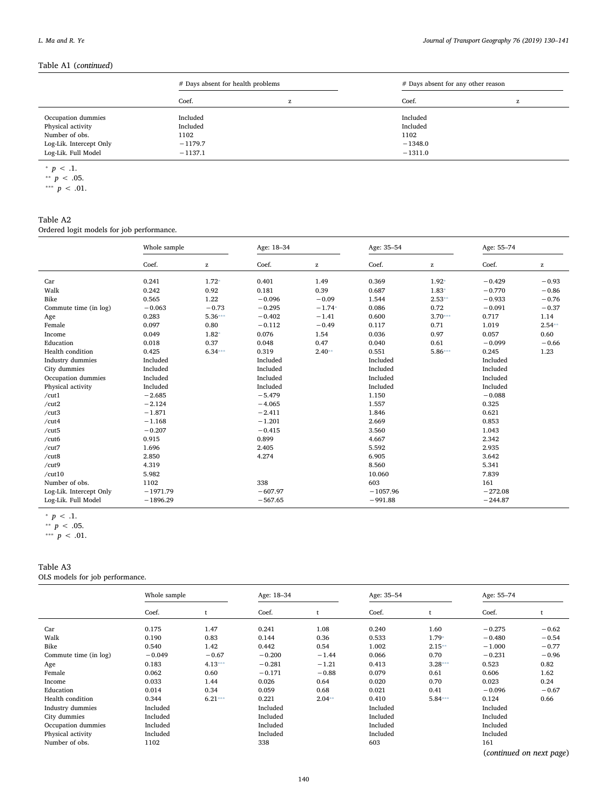# Table A1 (continued)

|                         | # Days absent for health problems |   | # Days absent for any other reason |   |  |
|-------------------------|-----------------------------------|---|------------------------------------|---|--|
|                         | Coef.                             | z | Coef.                              | z |  |
| Occupation dummies      | Included                          |   | Included                           |   |  |
| Physical activity       | Included                          |   | Included                           |   |  |
| Number of obs.          | 1102                              |   | 1102                               |   |  |
| Log-Lik. Intercept Only | $-1179.7$                         |   | $-1348.0$                          |   |  |
| Log-Lik. Full Model     | $-1137.1$                         |   | $-1311.0$                          |   |  |

<span id="page-10-2"></span><sup>\*</sup>  $p < .1$ .

# <span id="page-10-0"></span>Table A2

Ordered logit models for job performance.

|                         | Whole sample |                                                       | Age: 18-34 |          |            | Age: 35-54 |           | Age: 55-74 |  |
|-------------------------|--------------|-------------------------------------------------------|------------|----------|------------|------------|-----------|------------|--|
|                         | Coef.        | $\mathbf{Z}% ^{T}=\mathbf{Z}^{T}\times\mathbf{Z}^{T}$ | Coef.      | z        | Coef.      | z          | Coef.     | z          |  |
| Car                     | 0.241        | $1.72*$                                               | 0.401      | 1.49     | 0.369      | $1.92*$    | $-0.429$  | $-0.93$    |  |
| Walk                    | 0.242        | 0.92                                                  | 0.181      | 0.39     | 0.687      | $1.83*$    | $-0.770$  | $-0.86$    |  |
| Bike                    | 0.565        | 1.22                                                  | $-0.096$   | $-0.09$  | 1.544      | $2.53**$   | $-0.933$  | $-0.76$    |  |
| Commute time (in log)   | $-0.063$     | $-0.73$                                               | $-0.295$   | $-1.74*$ | 0.086      | 0.72       | $-0.091$  | $-0.37$    |  |
| Age                     | 0.283        | $5.36***$                                             | $-0.402$   | $-1.41$  | 0.600      | $3.70***$  | 0.717     | 1.14       |  |
| Female                  | 0.097        | 0.80                                                  | $-0.112$   | $-0.49$  | 0.117      | 0.71       | 1.019     | $2.54**$   |  |
| Income                  | 0.049        | $1.82*$                                               | 0.076      | 1.54     | 0.036      | 0.97       | 0.057     | 0.60       |  |
| Education               | 0.018        | 0.37                                                  | 0.048      | 0.47     | 0.040      | 0.61       | $-0.099$  | $-0.66$    |  |
| Health condition        | 0.425        | $6.34***$                                             | 0.319      | $2.40**$ | 0.551      | $5.86***$  | 0.245     | 1.23       |  |
| Industry dummies        | Included     |                                                       | Included   |          | Included   |            | Included  |            |  |
| City dummies            | Included     |                                                       | Included   |          | Included   |            | Included  |            |  |
| Occupation dummies      | Included     |                                                       | Included   |          | Included   |            | Included  |            |  |
| Physical activity       | Included     |                                                       | Included   |          | Included   |            | Included  |            |  |
| /cut1                   | $-2.685$     |                                                       | $-5.479$   |          | 1.150      |            | $-0.088$  |            |  |
| /cut2                   | $-2.124$     |                                                       | $-4.065$   |          | 1.557      |            | 0.325     |            |  |
| /cut3                   | $-1.871$     |                                                       | $-2.411$   |          | 1.846      |            | 0.621     |            |  |
| /cut4                   | $-1.168$     |                                                       | $-1.201$   |          | 2.669      |            | 0.853     |            |  |
| /cut5                   | $-0.207$     |                                                       | $-0.415$   |          | 3.560      |            | 1.043     |            |  |
| /cut6                   | 0.915        |                                                       | 0.899      |          | 4.667      |            | 2.342     |            |  |
| /cut7                   | 1.696        |                                                       | 2.405      |          | 5.592      |            | 2.935     |            |  |
| /cut8                   | 2.850        |                                                       | 4.274      |          | 6.905      |            | 3.642     |            |  |
| /cut9                   | 4.319        |                                                       |            |          | 8.560      |            | 5.341     |            |  |
| /cut10                  | 5.982        |                                                       |            |          | 10.060     |            | 7.839     |            |  |
| Number of obs.          | 1102         |                                                       | 338        |          | 603        |            | 161       |            |  |
| Log-Lik. Intercept Only | $-1971.79$   |                                                       | $-607.97$  |          | $-1057.96$ |            | $-272.08$ |            |  |
| Log-Lik. Full Model     | $-1896.29$   |                                                       | $-567.65$  |          | $-991.88$  |            | $-244.87$ |            |  |

<span id="page-10-5"></span><sup>\*</sup>  $p < .1$ .

<span id="page-10-7"></span>\*\*\*  $p < .01$ .

# <span id="page-10-1"></span>Table A3

OLS models for job performance.

|                       | Whole sample |           | Age: 18-34 |          |          | Age: 35-54 |          | Age: 55-74               |  |
|-----------------------|--------------|-----------|------------|----------|----------|------------|----------|--------------------------|--|
|                       | Coef.        |           | Coef.      |          | Coef.    |            | Coef.    |                          |  |
| Car                   | 0.175        | 1.47      | 0.241      | 1.08     | 0.240    | 1.60       | $-0.275$ | $-0.62$                  |  |
| Walk                  | 0.190        | 0.83      | 0.144      | 0.36     | 0.533    | $1.79*$    | $-0.480$ | $-0.54$                  |  |
| Bike                  | 0.540        | 1.42      | 0.442      | 0.54     | 1.002    | $2.15**$   | $-1.000$ | $-0.77$                  |  |
| Commute time (in log) | $-0.049$     | $-0.67$   | $-0.200$   | $-1.44$  | 0.066    | 0.70       | $-0.231$ | $-0.96$                  |  |
| Age                   | 0.183        | $4.13***$ | $-0.281$   | $-1.21$  | 0.413    | $3.28***$  | 0.523    | 0.82                     |  |
| Female                | 0.062        | 0.60      | $-0.171$   | $-0.88$  | 0.079    | 0.61       | 0.606    | 1.62                     |  |
| Income                | 0.033        | 1.44      | 0.026      | 0.64     | 0.020    | 0.70       | 0.023    | 0.24                     |  |
| Education             | 0.014        | 0.34      | 0.059      | 0.68     | 0.021    | 0.41       | $-0.096$ | $-0.67$                  |  |
| Health condition      | 0.344        | $6.21***$ | 0.221      | $2.04**$ | 0.410    | $5.84***$  | 0.124    | 0.66                     |  |
| Industry dummies      | Included     |           | Included   |          | Included |            | Included |                          |  |
| City dummies          | Included     |           | Included   |          | Included |            | Included |                          |  |
| Occupation dummies    | Included     |           | Included   |          | Included |            | Included |                          |  |
| Physical activity     | Included     |           | Included   |          | Included |            | Included |                          |  |
| Number of obs.        | 1102         |           | 338        |          | 603      |            | 161      |                          |  |
|                       |              |           |            |          |          |            |          | (continued on next page) |  |

<span id="page-10-4"></span><span id="page-10-3"></span><sup>\*\*</sup>  $p < .05$ . \*\*\*  $p < .01$ .

<span id="page-10-6"></span><sup>\*\*</sup>  $p < .05$ .